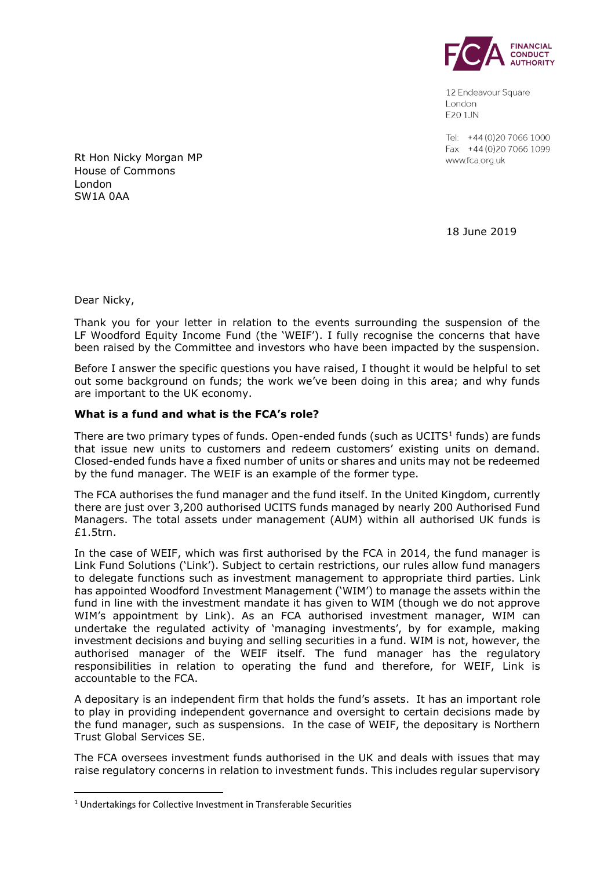

12 Endeavour Square London E201JN

Tel: +44 (0) 20 7066 1000 Fax: +44 (0) 20 7066 1099 www.fca.org.uk

Rt Hon Nicky Morgan MP House of Commons London SW1A 0AA

18 June 2019

Dear Nicky,

**.** 

Thank you for your letter in relation to the events surrounding the suspension of the LF Woodford Equity Income Fund (the 'WEIF'). I fully recognise the concerns that have been raised by the Committee and investors who have been impacted by the suspension.

Before I answer the specific questions you have raised, I thought it would be helpful to set out some background on funds; the work we've been doing in this area; and why funds are important to the UK economy.

## **What is a fund and what is the FCA's role?**

There are two primary types of funds. Open-ended funds (such as UCITS $1$  funds) are funds that issue new units to customers and redeem customers' existing units on demand. Closed-ended funds have a fixed number of units or shares and units may not be redeemed by the fund manager. The WEIF is an example of the former type.

The FCA authorises the fund manager and the fund itself. In the United Kingdom, currently there are just over 3,200 authorised UCITS funds managed by nearly 200 Authorised Fund Managers. The total assets under management (AUM) within all authorised UK funds is £1.5trn.

In the case of WEIF, which was first authorised by the FCA in 2014, the fund manager is Link Fund Solutions ('Link'). Subject to certain restrictions, our rules allow fund managers to delegate functions such as investment management to appropriate third parties. Link has appointed Woodford Investment Management ('WIM') to manage the assets within the fund in line with the investment mandate it has given to WIM (though we do not approve WIM's appointment by Link). As an FCA authorised investment manager, WIM can undertake the regulated activity of 'managing investments', by for example, making investment decisions and buying and selling securities in a fund. WIM is not, however, the authorised manager of the WEIF itself. The fund manager has the regulatory responsibilities in relation to operating the fund and therefore, for WEIF, Link is accountable to the FCA.

A depositary is an independent firm that holds the fund's assets. It has an important role to play in providing independent governance and oversight to certain decisions made by the fund manager, such as suspensions. In the case of WEIF, the depositary is Northern Trust Global Services SE.

The FCA oversees investment funds authorised in the UK and deals with issues that may raise regulatory concerns in relation to investment funds. This includes regular supervisory

<sup>1</sup> Undertakings for Collective Investment in Transferable Securities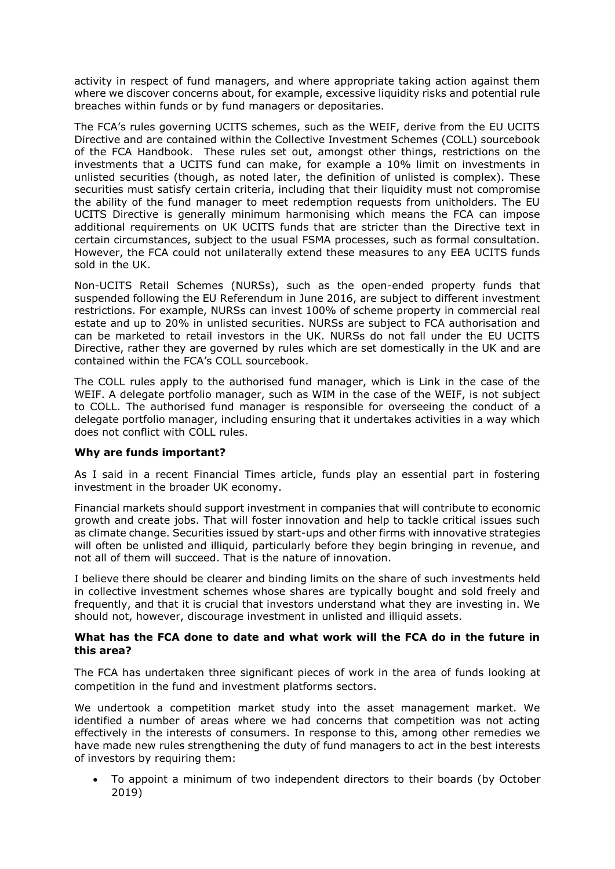activity in respect of fund managers, and where appropriate taking action against them where we discover concerns about, for example, excessive liquidity risks and potential rule breaches within funds or by fund managers or depositaries.

The FCA's rules governing UCITS schemes, such as the WEIF, derive from the EU UCITS Directive and are contained within the Collective Investment Schemes (COLL) sourcebook of the FCA Handbook. These rules set out, amongst other things, restrictions on the investments that a UCITS fund can make, for example a 10% limit on investments in unlisted securities (though, as noted later, the definition of unlisted is complex). These securities must satisfy certain criteria, including that their liquidity must not compromise the ability of the fund manager to meet redemption requests from unitholders. The EU UCITS Directive is generally minimum harmonising which means the FCA can impose additional requirements on UK UCITS funds that are stricter than the Directive text in certain circumstances, subject to the usual FSMA processes, such as formal consultation. However, the FCA could not unilaterally extend these measures to any EEA UCITS funds sold in the UK.

Non-UCITS Retail Schemes (NURSs), such as the open-ended property funds that suspended following the EU Referendum in June 2016, are subject to different investment restrictions. For example, NURSs can invest 100% of scheme property in commercial real estate and up to 20% in unlisted securities. NURSs are subject to FCA authorisation and can be marketed to retail investors in the UK. NURSs do not fall under the EU UCITS Directive, rather they are governed by rules which are set domestically in the UK and are contained within the FCA's COLL sourcebook.

The COLL rules apply to the authorised fund manager, which is Link in the case of the WEIF. A delegate portfolio manager, such as WIM in the case of the WEIF, is not subject to COLL. The authorised fund manager is responsible for overseeing the conduct of a delegate portfolio manager, including ensuring that it undertakes activities in a way which does not conflict with COLL rules.

## **Why are funds important?**

As I said in a recent Financial Times article, funds play an essential part in fostering investment in the broader UK economy.

Financial markets should support investment in companies that will contribute to economic growth and create jobs. That will foster innovation and help to tackle critical issues such as climate change. Securities issued by start-ups and other firms with innovative strategies will often be unlisted and illiquid, particularly before they begin bringing in revenue, and not all of them will succeed. That is the nature of innovation.

I believe there should be clearer and binding limits on the share of such investments held in collective investment schemes whose shares are typically bought and sold freely and frequently, and that it is crucial that investors understand what they are investing in. We should not, however, discourage investment in unlisted and illiquid assets.

# **What has the FCA done to date and what work will the FCA do in the future in this area?**

The FCA has undertaken three significant pieces of work in the area of funds looking at competition in the fund and investment platforms sectors.

We undertook a competition market study into the asset management market. We identified a number of areas where we had concerns that competition was not acting effectively in the interests of consumers. In response to this, among other remedies we have made new rules strengthening the duty of fund managers to act in the best interests of investors by requiring them:

• To appoint a minimum of two independent directors to their boards (by October 2019)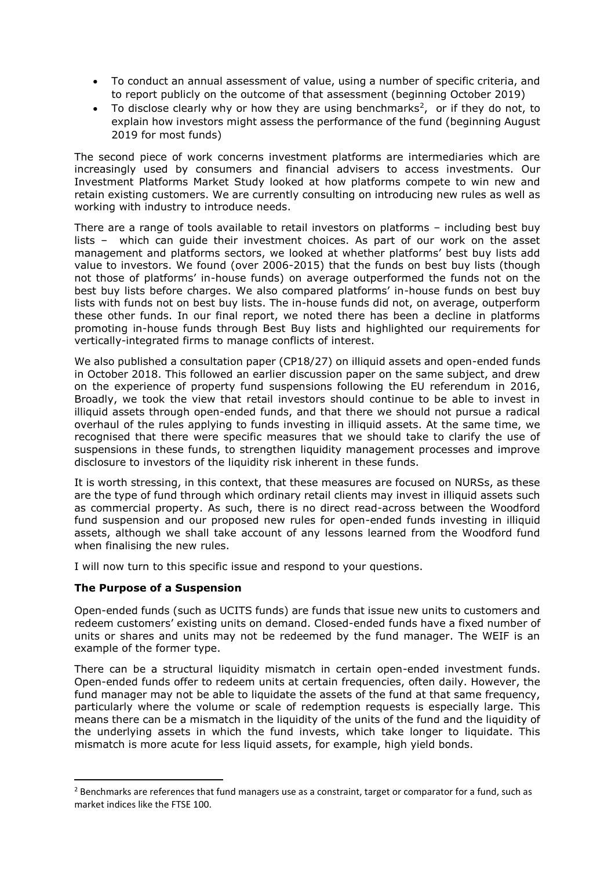- To conduct an annual assessment of value, using a number of specific criteria, and to report publicly on the outcome of that assessment (beginning October 2019)
- To disclose clearly why or how they are using benchmarks<sup>2</sup>, or if they do not, to explain how investors might assess the performance of the fund (beginning August 2019 for most funds)

The second piece of work concerns investment platforms are intermediaries which are increasingly used by consumers and financial advisers to access investments. Our Investment Platforms Market Study looked at how platforms compete to win new and retain existing customers. We are currently consulting on introducing new rules as well as working with industry to introduce needs.

There are a range of tools available to retail investors on platforms – including best buy lists – which can guide their investment choices. As part of our work on the asset management and platforms sectors, we looked at whether platforms' best buy lists add value to investors. We found (over 2006-2015) that the funds on best buy lists (though not those of platforms' in-house funds) on average outperformed the funds not on the best buy lists before charges. We also compared platforms' in-house funds on best buy lists with funds not on best buy lists. The in-house funds did not, on average, outperform these other funds. In our final report, we noted there has been a decline in platforms promoting in-house funds through Best Buy lists and highlighted our requirements for vertically-integrated firms to manage conflicts of interest.

We also published a consultation paper (CP18/27) on illiquid assets and open-ended funds in October 2018. This followed an earlier discussion paper on the same subject, and drew on the experience of property fund suspensions following the EU referendum in 2016, Broadly, we took the view that retail investors should continue to be able to invest in illiquid assets through open-ended funds, and that there we should not pursue a radical overhaul of the rules applying to funds investing in illiquid assets. At the same time, we recognised that there were specific measures that we should take to clarify the use of suspensions in these funds, to strengthen liquidity management processes and improve disclosure to investors of the liquidity risk inherent in these funds.

It is worth stressing, in this context, that these measures are focused on NURSs, as these are the type of fund through which ordinary retail clients may invest in illiquid assets such as commercial property. As such, there is no direct read-across between the Woodford fund suspension and our proposed new rules for open-ended funds investing in illiquid assets, although we shall take account of any lessons learned from the Woodford fund when finalising the new rules.

I will now turn to this specific issue and respond to your questions.

## **The Purpose of a Suspension**

 $\overline{\phantom{a}}$ 

Open-ended funds (such as UCITS funds) are funds that issue new units to customers and redeem customers' existing units on demand. Closed-ended funds have a fixed number of units or shares and units may not be redeemed by the fund manager. The WEIF is an example of the former type.

There can be a structural liquidity mismatch in certain open-ended investment funds. Open-ended funds offer to redeem units at certain frequencies, often daily. However, the fund manager may not be able to liquidate the assets of the fund at that same frequency, particularly where the volume or scale of redemption requests is especially large. This means there can be a mismatch in the liquidity of the units of the fund and the liquidity of the underlying assets in which the fund invests, which take longer to liquidate. This mismatch is more acute for less liquid assets, for example, high yield bonds.

<sup>&</sup>lt;sup>2</sup> Benchmarks are references that fund managers use as a constraint, target or comparator for a fund, such as market indices like the FTSE 100.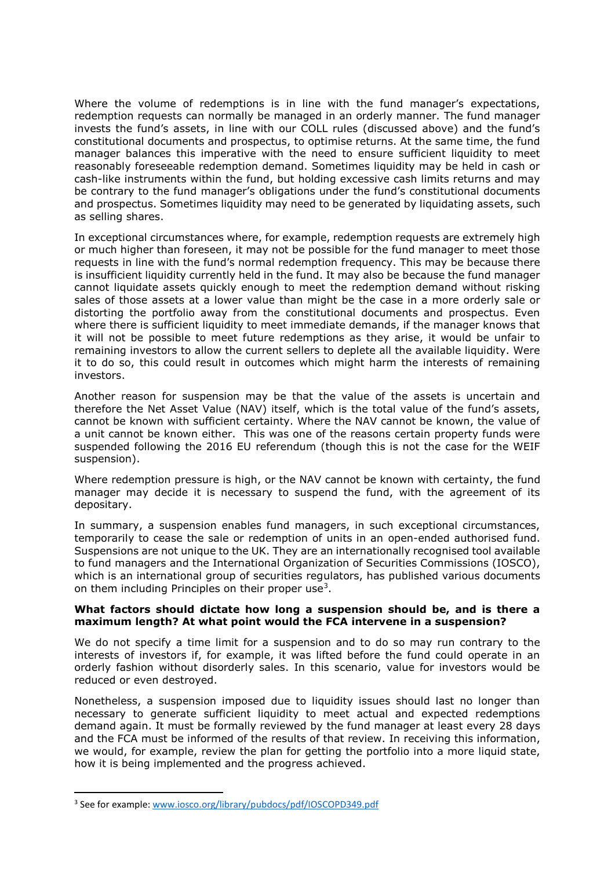Where the volume of redemptions is in line with the fund manager's expectations, redemption requests can normally be managed in an orderly manner. The fund manager invests the fund's assets, in line with our COLL rules (discussed above) and the fund's constitutional documents and prospectus, to optimise returns. At the same time, the fund manager balances this imperative with the need to ensure sufficient liquidity to meet reasonably foreseeable redemption demand. Sometimes liquidity may be held in cash or cash-like instruments within the fund, but holding excessive cash limits returns and may be contrary to the fund manager's obligations under the fund's constitutional documents and prospectus. Sometimes liquidity may need to be generated by liquidating assets, such as selling shares.

In exceptional circumstances where, for example, redemption requests are extremely high or much higher than foreseen, it may not be possible for the fund manager to meet those requests in line with the fund's normal redemption frequency. This may be because there is insufficient liquidity currently held in the fund. It may also be because the fund manager cannot liquidate assets quickly enough to meet the redemption demand without risking sales of those assets at a lower value than might be the case in a more orderly sale or distorting the portfolio away from the constitutional documents and prospectus. Even where there is sufficient liquidity to meet immediate demands, if the manager knows that it will not be possible to meet future redemptions as they arise, it would be unfair to remaining investors to allow the current sellers to deplete all the available liquidity. Were it to do so, this could result in outcomes which might harm the interests of remaining investors.

Another reason for suspension may be that the value of the assets is uncertain and therefore the Net Asset Value (NAV) itself, which is the total value of the fund's assets, cannot be known with sufficient certainty. Where the NAV cannot be known, the value of a unit cannot be known either. This was one of the reasons certain property funds were suspended following the 2016 EU referendum (though this is not the case for the WEIF suspension).

Where redemption pressure is high, or the NAV cannot be known with certainty, the fund manager may decide it is necessary to suspend the fund, with the agreement of its depositary.

In summary, a suspension enables fund managers, in such exceptional circumstances, temporarily to cease the sale or redemption of units in an open-ended authorised fund. Suspensions are not unique to the UK. They are an internationally recognised tool available to fund managers and the International Organization of Securities Commissions (IOSCO), which is an international group of securities regulators, has published various documents on them including Principles on their proper use<sup>3</sup>.

## **What factors should dictate how long a suspension should be, and is there a maximum length? At what point would the FCA intervene in a suspension?**

We do not specify a time limit for a suspension and to do so may run contrary to the interests of investors if, for example, it was lifted before the fund could operate in an orderly fashion without disorderly sales. In this scenario, value for investors would be reduced or even destroyed.

Nonetheless, a suspension imposed due to liquidity issues should last no longer than necessary to generate sufficient liquidity to meet actual and expected redemptions demand again. It must be formally reviewed by the fund manager at least every 28 days and the FCA must be informed of the results of that review. In receiving this information, we would, for example, review the plan for getting the portfolio into a more liquid state, how it is being implemented and the progress achieved.

**.** 

<sup>&</sup>lt;sup>3</sup> See for example: [www.iosco.org/library/pubdocs/pdf/IOSCOPD349.pdf](http://www.iosco.org/library/pubdocs/pdf/IOSCOPD349.pdf)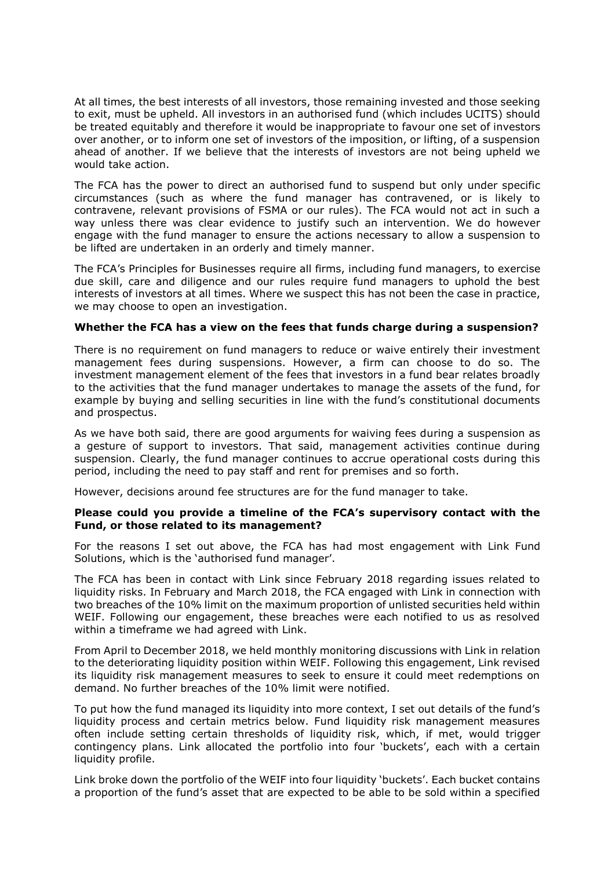At all times, the best interests of all investors, those remaining invested and those seeking to exit, must be upheld. All investors in an authorised fund (which includes UCITS) should be treated equitably and therefore it would be inappropriate to favour one set of investors over another, or to inform one set of investors of the imposition, or lifting, of a suspension ahead of another. If we believe that the interests of investors are not being upheld we would take action.

The FCA has the power to direct an authorised fund to suspend but only under specific circumstances (such as where the fund manager has contravened, or is likely to contravene, relevant provisions of FSMA or our rules). The FCA would not act in such a way unless there was clear evidence to justify such an intervention. We do however engage with the fund manager to ensure the actions necessary to allow a suspension to be lifted are undertaken in an orderly and timely manner.

The FCA's Principles for Businesses require all firms, including fund managers, to exercise due skill, care and diligence and our rules require fund managers to uphold the best interests of investors at all times. Where we suspect this has not been the case in practice, we may choose to open an investigation.

## **Whether the FCA has a view on the fees that funds charge during a suspension?**

There is no requirement on fund managers to reduce or waive entirely their investment management fees during suspensions. However, a firm can choose to do so. The investment management element of the fees that investors in a fund bear relates broadly to the activities that the fund manager undertakes to manage the assets of the fund, for example by buying and selling securities in line with the fund's constitutional documents and prospectus.

As we have both said, there are good arguments for waiving fees during a suspension as a gesture of support to investors. That said, management activities continue during suspension. Clearly, the fund manager continues to accrue operational costs during this period, including the need to pay staff and rent for premises and so forth.

However, decisions around fee structures are for the fund manager to take.

## **Please could you provide a timeline of the FCA's supervisory contact with the Fund, or those related to its management?**

For the reasons I set out above, the FCA has had most engagement with Link Fund Solutions, which is the 'authorised fund manager'.

The FCA has been in contact with Link since February 2018 regarding issues related to liquidity risks. In February and March 2018, the FCA engaged with Link in connection with two breaches of the 10% limit on the maximum proportion of unlisted securities held within WEIF. Following our engagement, these breaches were each notified to us as resolved within a timeframe we had agreed with Link.

From April to December 2018, we held monthly monitoring discussions with Link in relation to the deteriorating liquidity position within WEIF. Following this engagement, Link revised its liquidity risk management measures to seek to ensure it could meet redemptions on demand. No further breaches of the 10% limit were notified.

To put how the fund managed its liquidity into more context, I set out details of the fund's liquidity process and certain metrics below. Fund liquidity risk management measures often include setting certain thresholds of liquidity risk, which, if met, would trigger contingency plans. Link allocated the portfolio into four 'buckets', each with a certain liquidity profile.

Link broke down the portfolio of the WEIF into four liquidity 'buckets'. Each bucket contains a proportion of the fund's asset that are expected to be able to be sold within a specified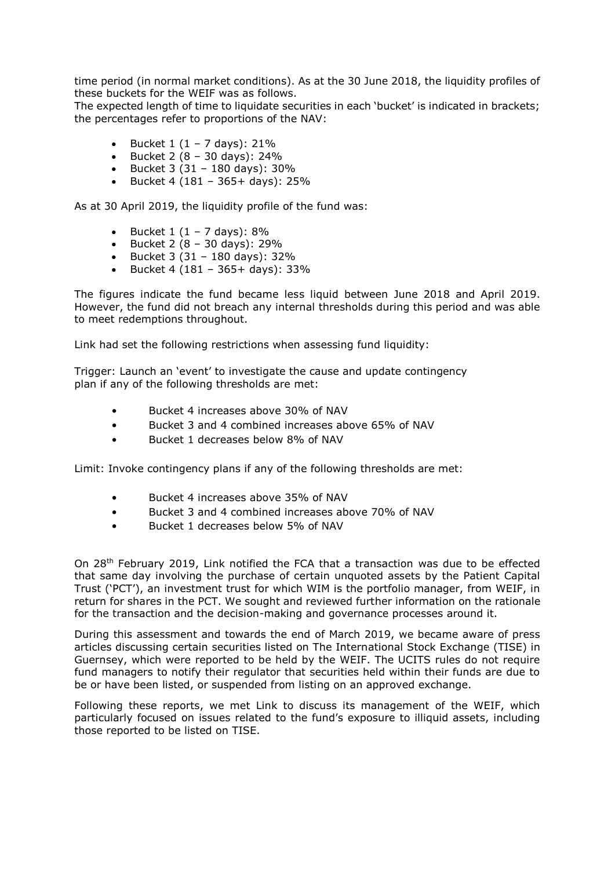time period (in normal market conditions). As at the 30 June 2018, the liquidity profiles of these buckets for the WEIF was as follows.

The expected length of time to liquidate securities in each 'bucket' is indicated in brackets; the percentages refer to proportions of the NAV:

- Bucket 1 (1 7 days): 21%
- Bucket 2  $(8 30 \text{ days})$ : 24%
- Bucket 3 (31 180 days): 30%
- Bucket 4 (181 365+ days): 25%

As at 30 April 2019, the liquidity profile of the fund was:

- Bucket  $1(1 7 \text{ days})$ : 8%
- Bucket 2  $(8 30 \text{ days})$ : 29%
- Bucket  $3(31 180 \text{ days})$ :  $32\%$
- Bucket 4 (181 365+ days): 33%

The figures indicate the fund became less liquid between June 2018 and April 2019. However, the fund did not breach any internal thresholds during this period and was able to meet redemptions throughout.

Link had set the following restrictions when assessing fund liquidity:

Trigger: Launch an 'event' to investigate the cause and update contingency plan if any of the following thresholds are met:

- Bucket 4 increases above 30% of NAV
- Bucket 3 and 4 combined increases above 65% of NAV
- Bucket 1 decreases below 8% of NAV

Limit: Invoke contingency plans if any of the following thresholds are met:

- Bucket 4 increases above 35% of NAV
- Bucket 3 and 4 combined increases above 70% of NAV
- Bucket 1 decreases below 5% of NAV

On 28th February 2019, Link notified the FCA that a transaction was due to be effected that same day involving the purchase of certain unquoted assets by the Patient Capital Trust ('PCT'), an investment trust for which WIM is the portfolio manager, from WEIF, in return for shares in the PCT. We sought and reviewed further information on the rationale for the transaction and the decision-making and governance processes around it.

During this assessment and towards the end of March 2019, we became aware of press articles discussing certain securities listed on The International Stock Exchange (TISE) in Guernsey, which were reported to be held by the WEIF. The UCITS rules do not require fund managers to notify their regulator that securities held within their funds are due to be or have been listed, or suspended from listing on an approved exchange.

Following these reports, we met Link to discuss its management of the WEIF, which particularly focused on issues related to the fund's exposure to illiquid assets, including those reported to be listed on TISE.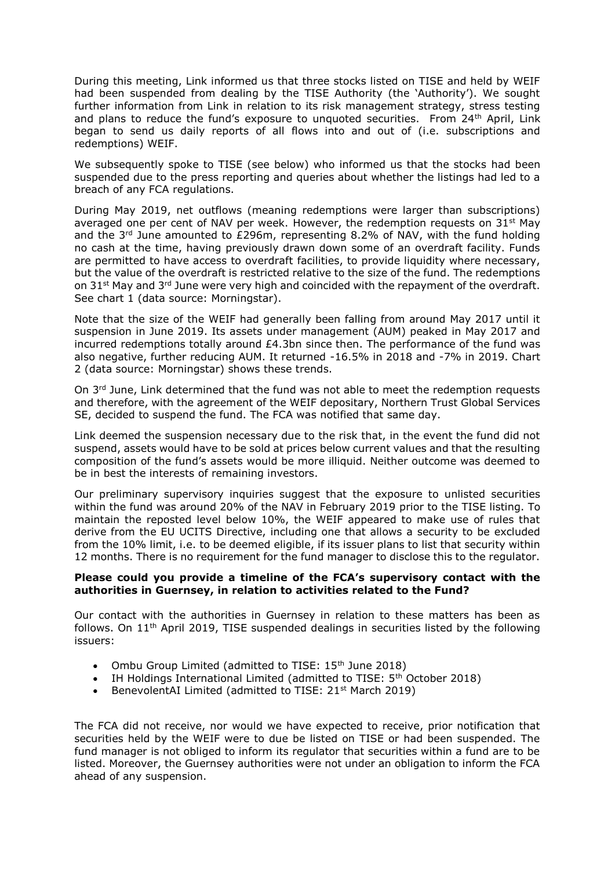During this meeting, Link informed us that three stocks listed on TISE and held by WEIF had been suspended from dealing by the TISE Authority (the 'Authority'). We sought further information from Link in relation to its risk management strategy, stress testing and plans to reduce the fund's exposure to unquoted securities. From  $24<sup>th</sup>$  April, Link began to send us daily reports of all flows into and out of (i.e. subscriptions and redemptions) WEIF.

We subsequently spoke to TISE (see below) who informed us that the stocks had been suspended due to the press reporting and queries about whether the listings had led to a breach of any FCA regulations.

During May 2019, net outflows (meaning redemptions were larger than subscriptions) averaged one per cent of NAV per week. However, the redemption requests on  $31^{st}$  May and the 3rd June amounted to £296m, representing 8.2% of NAV, with the fund holding no cash at the time, having previously drawn down some of an overdraft facility. Funds are permitted to have access to overdraft facilities, to provide liquidity where necessary, but the value of the overdraft is restricted relative to the size of the fund. The redemptions on 31<sup>st</sup> May and 3<sup>rd</sup> June were very high and coincided with the repayment of the overdraft. See chart 1 (data source: Morningstar).

Note that the size of the WEIF had generally been falling from around May 2017 until it suspension in June 2019. Its assets under management (AUM) peaked in May 2017 and incurred redemptions totally around  $£4.3$ bn since then. The performance of the fund was also negative, further reducing AUM. It returned -16.5% in 2018 and -7% in 2019. Chart 2 (data source: Morningstar) shows these trends.

On  $3<sup>rd</sup>$  June, Link determined that the fund was not able to meet the redemption requests and therefore, with the agreement of the WEIF depositary, Northern Trust Global Services SE, decided to suspend the fund. The FCA was notified that same day.

Link deemed the suspension necessary due to the risk that, in the event the fund did not suspend, assets would have to be sold at prices below current values and that the resulting composition of the fund's assets would be more illiquid. Neither outcome was deemed to be in best the interests of remaining investors.

Our preliminary supervisory inquiries suggest that the exposure to unlisted securities within the fund was around 20% of the NAV in February 2019 prior to the TISE listing. To maintain the reposted level below 10%, the WEIF appeared to make use of rules that derive from the EU UCITS Directive, including one that allows a security to be excluded from the 10% limit, i.e. to be deemed eligible, if its issuer plans to list that security within 12 months. There is no requirement for the fund manager to disclose this to the regulator.

#### **Please could you provide a timeline of the FCA's supervisory contact with the authorities in Guernsey, in relation to activities related to the Fund?**

Our contact with the authorities in Guernsey in relation to these matters has been as follows. On 11th April 2019, TISE suspended dealings in securities listed by the following issuers:

- Ombu Group Limited (admitted to TISE: 15<sup>th</sup> June 2018)
- IH Holdings International Limited (admitted to TISE:  $5<sup>th</sup>$  October 2018)
- BenevolentAI Limited (admitted to TISE: 21<sup>st</sup> March 2019)

The FCA did not receive, nor would we have expected to receive, prior notification that securities held by the WEIF were to due be listed on TISE or had been suspended. The fund manager is not obliged to inform its regulator that securities within a fund are to be listed. Moreover, the Guernsey authorities were not under an obligation to inform the FCA ahead of any suspension.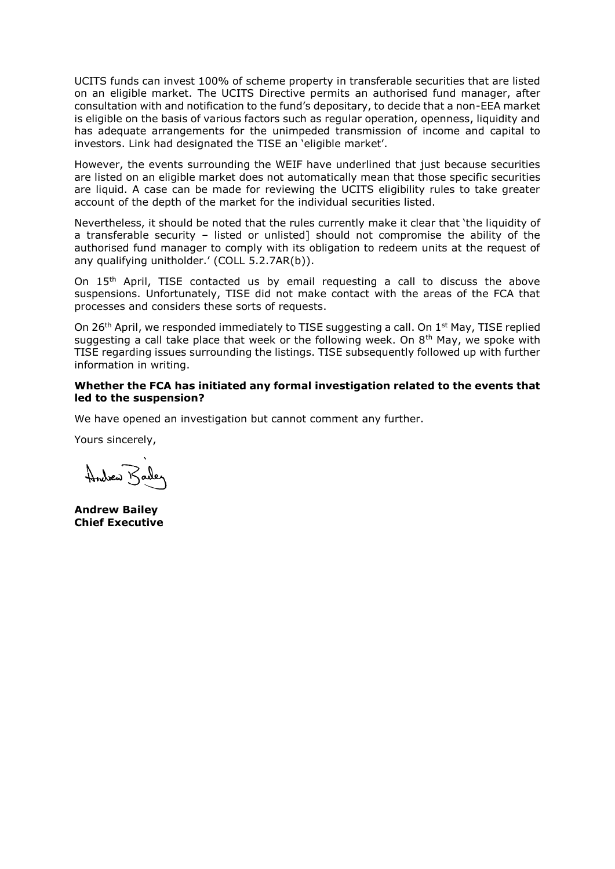UCITS funds can invest 100% of scheme property in transferable securities that are listed on an eligible market. The UCITS Directive permits an authorised fund manager, after consultation with and notification to the fund's depositary, to decide that a non-EEA market is eligible on the basis of various factors such as regular operation, openness, liquidity and has adequate arrangements for the unimpeded transmission of income and capital to investors. Link had designated the TISE an 'eligible market'.

However, the events surrounding the WEIF have underlined that just because securities are listed on an eligible market does not automatically mean that those specific securities are liquid. A case can be made for reviewing the UCITS eligibility rules to take greater account of the depth of the market for the individual securities listed.

Nevertheless, it should be noted that the rules currently make it clear that 'the liquidity of a transferable security – listed or unlisted] should not compromise the ability of the authorised fund manager to comply with its obligation to redeem units at the request of any qualifying unitholder.' (COLL 5.2.7AR(b)).

On  $15<sup>th</sup>$  April, TISE contacted us by email requesting a call to discuss the above suspensions. Unfortunately, TISE did not make contact with the areas of the FCA that processes and considers these sorts of requests.

On 26<sup>th</sup> April, we responded immediately to TISE suggesting a call. On  $1<sup>st</sup>$  May, TISE replied suggesting a call take place that week or the following week. On  $8<sup>th</sup>$  May, we spoke with TISE regarding issues surrounding the listings. TISE subsequently followed up with further information in writing.

#### **Whether the FCA has initiated any formal investigation related to the events that led to the suspension?**

We have opened an investigation but cannot comment any further.

Yours sincerely,

Andrew Barley

**Andrew Bailey Chief Executive**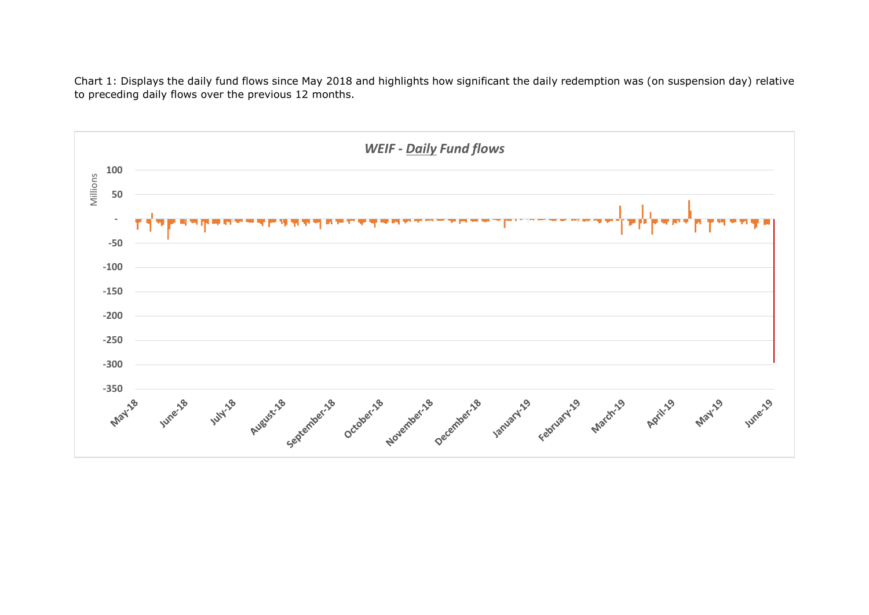Chart 1: Displays the daily fund flows since May 2018 and highlights how significant the daily redemption was (on suspension day) relative to preceding daily flows over the previous 12 months.